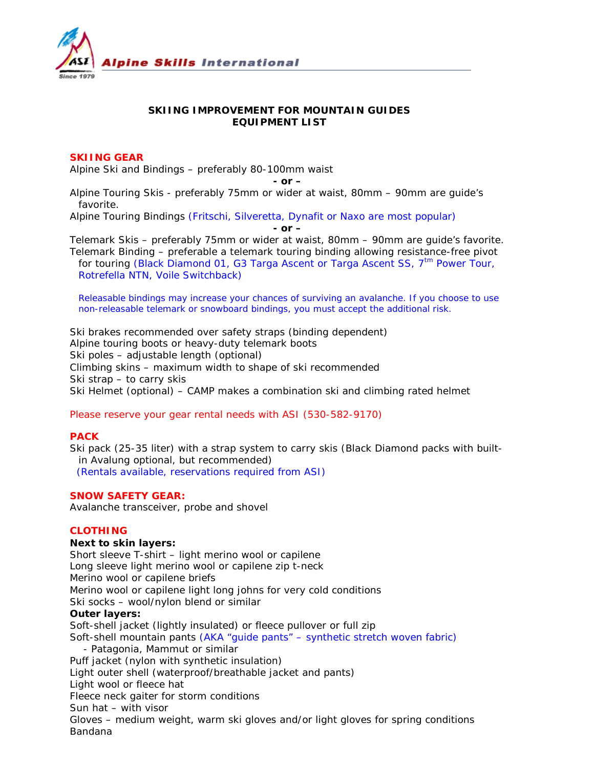

# **SKIING IMPROVEMENT FOR MOUNTAIN GUIDES EQUIPMENT LIST**

# **SKIING GEAR**

Alpine Ski and Bindings – preferably 80-100mm waist

*- or –*

Alpine Touring Skis - preferably 75mm or wider at waist, 80mm – 90mm are guide's favorite.

Alpine Touring Bindings *(Fritschi, Silveretta, Dynafit or Naxo are most popular)*

*- or –*

Telemark Skis – preferably 75mm or wider at waist, 80mm – 90mm are guide's favorite. Telemark Binding – preferable a telemark touring binding allowing resistance-free pivot for touring *(Black Diamond 01, G3 Targa Ascent or Targa Ascent SS, 7tm Power Tour, Rotrefella NTN, Voile Switchback)*

*Releasable bindings may increase your chances of surviving an avalanche. If you choose to use non-releasable telemark or snowboard bindings, you must accept the additional risk.*

Ski brakes recommended over safety straps (binding dependent) Alpine touring boots or heavy-duty telemark boots Ski poles – adjustable length (optional) Climbing skins – maximum width to shape of ski recommended Ski strap – to carry skis Ski Helmet (optional) – CAMP makes a combination ski and climbing rated helmet

*Please reserve your gear rental needs with ASI (530-582-9170)*

## **PACK**

Ski pack (25-35 liter) with a strap system to carry skis (Black Diamond packs with builtin Avalung optional, but recommended) (*Rentals available, reservations required from ASI)*

# **SNOW SAFETY GEAR:**

Avalanche transceiver, probe and shovel

## **CLOTHING**

#### **Next to skin layers:**

Short sleeve T-shirt – light merino wool or capilene Long sleeve light merino wool or capilene zip t-neck Merino wool or capilene briefs Merino wool or capilene light long johns for very cold conditions Ski socks – wool/nylon blend or similar **Outer layers:** Soft-shell jacket (lightly insulated) or fleece pullover or full zip Soft-shell mountain pants *(AKA "guide pants" – synthetic stretch woven fabric)* - Patagonia, Mammut or similar Puff jacket (nylon with synthetic insulation) Light outer shell (waterproof/breathable jacket and pants) Light wool or fleece hat Fleece neck gaiter for storm conditions Sun hat – with visor Gloves – medium weight, warm ski gloves and/or light gloves for spring conditions Bandana